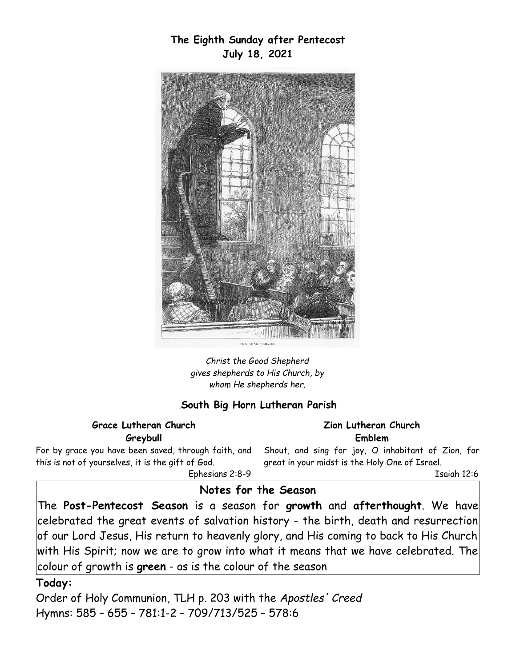**The Eighth Sunday after Pentecost July 18, 2021**



*Christ the Good Shepherd gives shepherds to His Church, by whom He shepherds her.*

### *.***South Big Horn Lutheran Parish**

**Grace Lutheran Church Greybull**

For by grace you have been saved, through faith, and this is not of yourselves, it is the gift of God. Ephesians 2:8-9

**Zion Lutheran Church Emblem**

Shout, and sing for joy, O inhabitant of Zion, for great in your midst is the Holy One of Israel.

Isaiah 12:6

#### **Notes for the Season**

The **Post-Pentecost Season** is a season for **growth** and **afterthought**. We have celebrated the great events of salvation history - the birth, death and resurrection of our Lord Jesus, His return to heavenly glory, and His coming to back to His Church with His Spirit; now we are to grow into what it means that we have celebrated. The colour of growth is **green** - as is the colour of the season

#### **Today:**

Order of Holy Communion, TLH p. 203 with the *Apostles' Creed*  Hymns: 585 – 655 – 781:1-2 – 709/713/525 – 578:6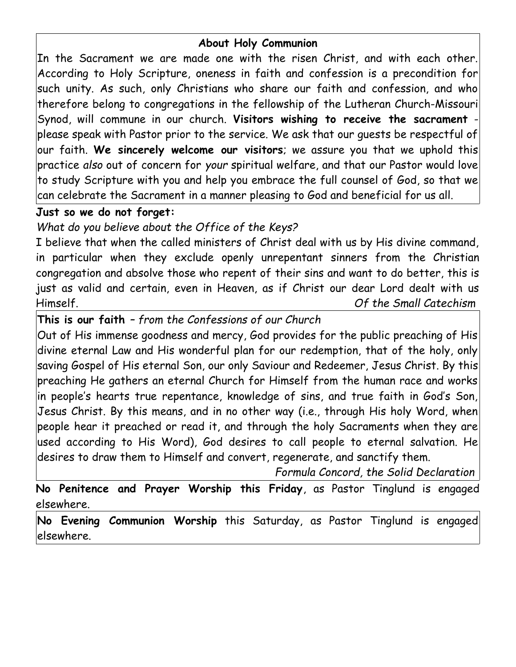# **About Holy Communion**

In the Sacrament we are made one with the risen Christ, and with each other. According to Holy Scripture, oneness in faith and confession is a precondition for such unity. As such, only Christians who share our faith and confession, and who therefore belong to congregations in the fellowship of the Lutheran Church-Missouri Synod, will commune in our church. **Visitors wishing to receive the sacrament** please speak with Pastor prior to the service. We ask that our guests be respectful of our faith. **We sincerely welcome our visitors**; we assure you that we uphold this practice *also* out of concern for *your* spiritual welfare, and that our Pastor would love to study Scripture with you and help you embrace the full counsel of God, so that we can celebrate the Sacrament in a manner pleasing to God and beneficial for us all.

# **Just so we do not forget:**

*What do you believe about the Office of the Keys?*

I believe that when the called ministers of Christ deal with us by His divine command, in particular when they exclude openly unrepentant sinners from the Christian congregation and absolve those who repent of their sins and want to do better, this is just as valid and certain, even in Heaven, as if Christ our dear Lord dealt with us Himself. *Of the Small Catechism*

**This is our faith** *– from the Confessions of our Church*

Out of His immense goodness and mercy, God provides for the public preaching of His divine eternal Law and His wonderful plan for our redemption, that of the holy, only saving Gospel of His eternal Son, our only Saviour and Redeemer, Jesus Christ. By this preaching He gathers an eternal Church for Himself from the human race and works in people's hearts true repentance, knowledge of sins, and true faith in God's Son, Jesus Christ. By this means, and in no other way (i.e., through His holy Word, when people hear it preached or read it, and through the holy Sacraments when they are used according to His Word), God desires to call people to eternal salvation. He desires to draw them to Himself and convert, regenerate, and sanctify them.

 *Formula Concord, the Solid Declaration*

**No Penitence and Prayer Worship this Friday**, as Pastor Tinglund is engaged elsewhere.

**No Evening Communion Worship** this Saturday, as Pastor Tinglund is engaged elsewhere.